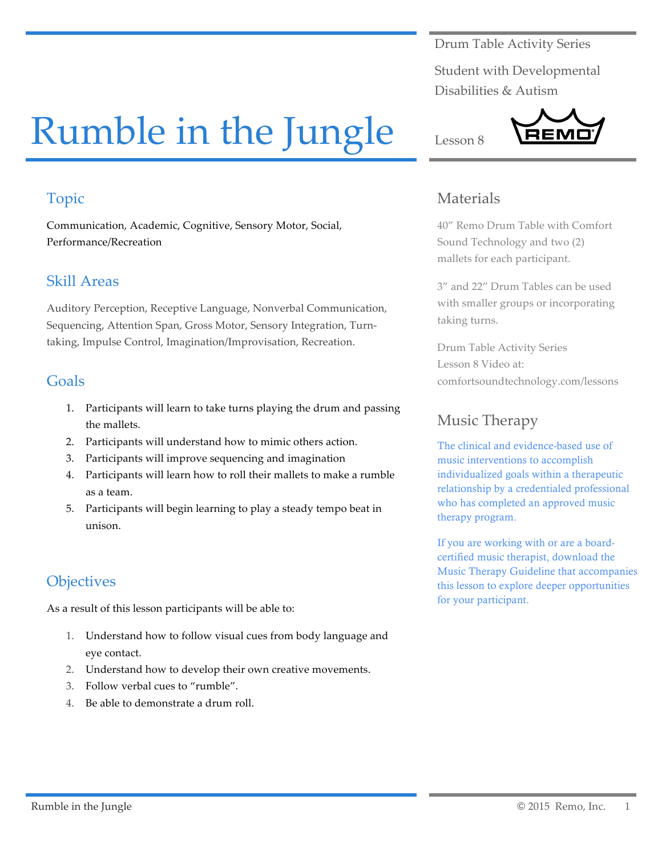Drum Table Activity Series

Student with Developmental Disabilities & Autism

# Rumble in the Jungle

# Topic

Communication, Academic, Cognitive, Sensory Motor, Social, Performance/Recreation

## Skill Areas

Auditory Perception, Receptive Language, Nonverbal Communication, Sequencing, Attention Span, Gross Motor, Sensory Integration, Turntaking, Impulse Control, Imagination/Improvisation, Recreation.

#### Goals

- 1. Participants will learn to take turns playing the drum and passing the mallets.
- 2. Participants will understand how to mimic others action.
- 3. Participants will improve sequencing and imagination
- 4. Participants will learn how to roll their mallets to make a rumble as a team.
- 5. Participants will begin learning to play a steady tempo beat in unison.

# **Objectives**

As a result of this lesson participants will be able to:

- 1. Understand how to follow visual cues from body language and eye contact.
- 2. Understand how to develop their own creative movements.
- 3. Follow verbal cues to "rumble".
- 4. Be able to demonstrate a drum roll.

## Materials

Lesson 8

40" Remo Drum Table with Comfort Sound Technology and two (2) mallets for each participant.

3" and 22" Drum Tables can be used with smaller groups or incorporating taking turns.

Drum Table Activity Series Lesson 8 Video at: comfortsoundtechnology.com/lessons

# Music Therapy

The clinical and evidence-based use of music interventions to accomplish individualized goals within a therapeutic relationship by a credentialed professional who has completed an approved music therapy program.

If you are working with or are a boardcertified music therapist, download the Music Therapy Guideline that accompanies this lesson to explore deeper opportunities for your participant.